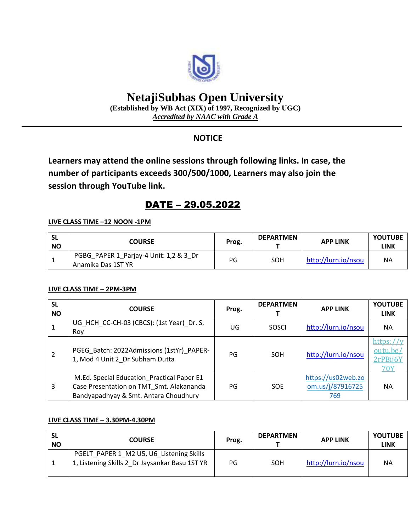

# **NetajiSubhas Open University**

**(Established by WB Act (XIX) of 1997, Recognized by UGC)** *Accredited by NAAC with Grade A*

### **NOTICE**

**Learners may attend the online sessions through following links. In case, the number of participants exceeds 300/500/1000, Learners may also join the session through YouTube link.**

## DATE – 29.05.2022

#### **LIVE CLASS TIME –12 NOON -1PM**

| -SL<br><b>NO</b> | <b>COURSE</b>                                                | Prog. | <b>DEPARTMEN</b> | <b>APP LINK</b>     | <b>YOUTUBE</b><br>LINK |
|------------------|--------------------------------------------------------------|-------|------------------|---------------------|------------------------|
|                  | PGBG_PAPER 1_Parjay-4 Unit: 1,2 & 3_Dr<br>Anamika Das 1ST YR | PG    | SOH              | http://lurn.io/nsou | ΝA                     |

#### **LIVE CLASS TIME – 2PM-3PM**

| <b>SL</b><br><b>NO</b> | <b>COURSE</b>                                                                                                                   | Prog. | <b>DEPARTMEN</b> | <b>APP LINK</b>                               | <b>YOUTUBE</b><br><b>LINK</b>                   |
|------------------------|---------------------------------------------------------------------------------------------------------------------------------|-------|------------------|-----------------------------------------------|-------------------------------------------------|
|                        | UG HCH CC-CH-03 (CBCS): (1st Year) Dr. S.<br>Roy                                                                                | UG    | SOSCI            | http://lurn.io/nsou                           | <b>NA</b>                                       |
|                        | PGEG Batch: 2022Admissions (1stYr) PAPER-<br>1, Mod 4 Unit 2 Dr Subham Dutta                                                    | PG    | <b>SOH</b>       | http://lurn.io/nsou                           | https://r<br>outu.be/<br>2rPBij6)<br><b>70Y</b> |
| 3                      | M.Ed. Special Education Practical Paper E1<br>Case Presentation on TMT_Smt. Alakananda<br>Bandyapadhyay & Smt. Antara Choudhury | PG    | <b>SOE</b>       | https://us02web.zo<br>om.us/j/87916725<br>769 | <b>NA</b>                                       |

#### **LIVE CLASS TIME – 3.30PM-4.30PM**

| <b>SL</b><br><b>NO</b> | <b>COURSE</b>                                                                              | Prog. | <b>DEPARTMEN</b> | <b>APP LINK</b>     | <b>YOUTUBE</b><br>LINK |
|------------------------|--------------------------------------------------------------------------------------------|-------|------------------|---------------------|------------------------|
|                        | PGELT PAPER 1 M2 U5, U6 Listening Skills<br>1, Listening Skills 2 Dr Jaysankar Basu 1ST YR | PG    | SOH              | http://lurn.io/nsou | <b>NA</b>              |